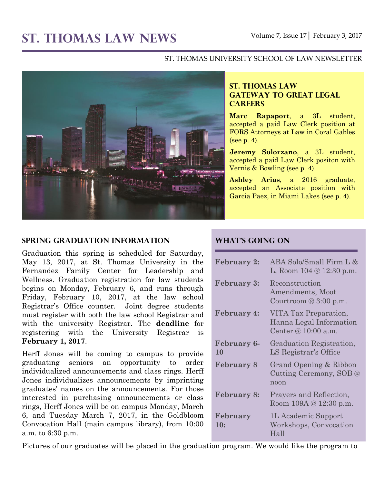# **ST. THOMAS LAW NEWS** Volume 7, Issue 17│ February 3, 2017

#### ST. THOMAS UNIVERSITY SCHOOL OF LAW NEWSLETTER



## **ST. THOMAS LAW GATEWAY TO GREAT LEGAL CAREERS**

**Marc Rapaport**, a 3L student, accepted a paid Law Clerk position at FORS Attorneys at Law in Coral Gables (see p. 4).

**Jeremy Solorzano**, a 3L student, accepted a paid Law Clerk positon with Vernis & Bowling (see p. 4).

**Ashley Arias**, a 2016 graduate, accepted an Associate position with Garcia Paez, in Miami Lakes (see p. 4).

## **Spring Graduation Information**

Graduation this spring is scheduled for Saturday, May 13, 2017, at St. Thomas University in the Fernandez Family Center for Leadership and Wellness. Graduation registration for law students begins on Monday, February 6, and runs through Friday, February 10, 2017, at the law school Registrar's Office counter. Joint degree students must register with both the law school Registrar and with the university Registrar. The **deadline** for registering with the University Registrar is **February 1, 2017**.

Herff Jones will be coming to campus to provide graduating seniors an opportunity to order individualized announcements and class rings. Herff Jones individualizes announcements by imprinting graduates' names on the announcements. For those interested in purchasing announcements or class rings, Herff Jones will be on campus Monday, March 6, and Tuesday March 7, 2017, in the Goldbloom Convocation Hall (main campus library), from 10:00 a.m. to 6:30 p.m.

## **What's Going On**

| <b>February 2:</b>       | ABA Solo/Small Firm L &<br>L, Room $104 \& 12:30 \text{ p.m.}$          |
|--------------------------|-------------------------------------------------------------------------|
| <b>February 3:</b>       | Reconstruction<br>Amendments, Moot<br>Courtroom $@3:00$ p.m.            |
| <b>February 4:</b>       | VITA Tax Preparation,<br>Hanna Legal Information<br>Center @ 10:00 a.m. |
| <b>February 6-</b><br>10 | Graduation Registration,<br>LS Registrar's Office                       |
| <b>February 8</b>        | Grand Opening & Ribbon<br>Cutting Ceremony, SOB @<br>noon               |
| <b>February 8:</b>       | Prayers and Reflection,<br>Room 109A @ 12:30 p.m.                       |
| February<br>10:          | 1L Academic Support<br>Workshops, Convocation<br>Hall                   |

Pictures of our graduates will be placed in the graduation program. We would like the program to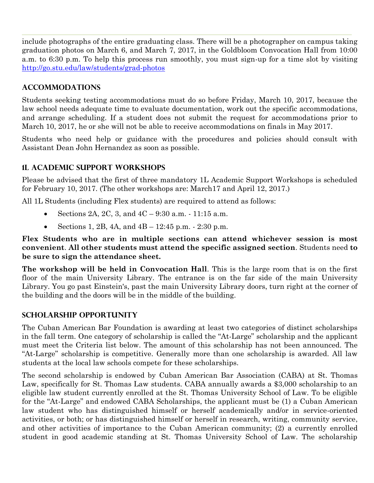include photographs of the entire graduating class. There will be a photographer on campus taking graduation photos on March 6, and March 7, 2017, in the Goldbloom Convocation Hall from 10:00 a.m. to 6:30 p.m. To help this process run smoothly, you must sign-up for a time slot by visiting <http://go.stu.edu/law/students/grad-photos>

## **Accommodations**

Students seeking testing accommodations must do so before Friday, March 10, 2017, because the law school needs adequate time to evaluate documentation, work out the specific accommodations, and arrange scheduling. If a student does not submit the request for accommodations prior to March 10, 2017, he or she will not be able to receive accommodations on finals in May 2017.

Students who need help or guidance with the procedures and policies should consult with Assistant Dean John Hernandez as soon as possible.

# **1L Academic Support Workshops**

Please be advised that the first of three mandatory 1L Academic Support Workshops is scheduled for February 10, 2017. (The other workshops are: March17 and April 12, 2017.)

All 1L Students (including Flex students) are required to attend as follows:

- Sections 2A, 2C, 3, and 4C 9:30 a.m. 11:15 a.m.
- Sections 1, 2B, 4A, and  $4B 12:45$  p.m.  $2:30$  p.m.

**Flex Students who are in multiple sections can attend whichever session is most convenient**. **All other students must attend the specific assigned section**. Students need **to be sure to sign the attendance sheet.**

**The workshop will be held in Convocation Hall**. This is the large room that is on the first floor of the main University Library. The entrance is on the far side of the main University Library. You go past Einstein's, past the main University Library doors, turn right at the corner of the building and the doors will be in the middle of the building.

# **Scholarship Opportunity**

The Cuban American Bar Foundation is awarding at least two categories of distinct scholarships in the fall term. One category of scholarship is called the "At-Large" scholarship and the applicant must meet the Criteria list below. The amount of this scholarship has not been announced. The "At-Large" scholarship is competitive. Generally more than one scholarship is awarded. All law students at the local law schools compete for these scholarships.

The second scholarship is endowed by Cuban American Bar Association (CABA) at St. Thomas Law, specifically for St. Thomas Law students. CABA annually awards a \$3,000 scholarship to an eligible law student currently enrolled at the St. Thomas University School of Law. To be eligible for the "At-Large" and endowed CABA Scholarships, the applicant must be (1) a Cuban American law student who has distinguished himself or herself academically and/or in service-oriented activities, or both; or has distinguished himself or herself in research, writing, community service, and other activities of importance to the Cuban American community; (2) a currently enrolled student in good academic standing at St. Thomas University School of Law. The scholarship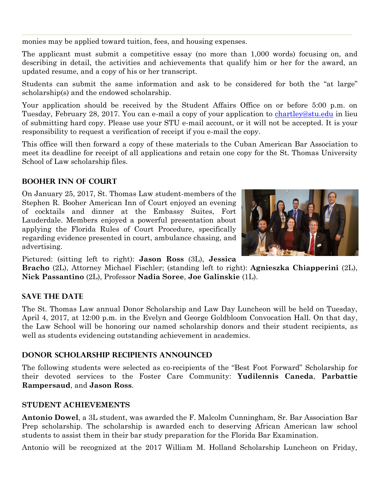monies may be applied toward tuition, fees, and housing expenses.

The applicant must submit a competitive essay (no more than 1,000 words) focusing on, and describing in detail, the activities and achievements that qualify him or her for the award, an updated resume, and a copy of his or her transcript.

Students can submit the same information and ask to be considered for both the "at large" scholarship(s) and the endowed scholarship.

Your application should be received by the Student Affairs Office on or before 5:00 p.m. on Tuesday, February 28, 2017. You can e-mail a copy of your application to [chartley@stu.edu](mailto:chartley@stu.edu) in lieu of submitting hard copy. Please use your STU e-mail account, or it will not be accepted. It is your responsibility to request a verification of receipt if you e-mail the copy.

This office will then forward a copy of these materials to the Cuban American Bar Association to meet its deadline for receipt of all applications and retain one copy for the St. Thomas University School of Law scholarship files.

## **Booher Inn of Court**

On January 25, 2017, St. Thomas Law student-members of the Stephen R. Booher American Inn of Court enjoyed an evening of cocktails and dinner at the Embassy Suites, Fort Lauderdale. Members enjoyed a powerful presentation about applying the Florida Rules of Court Procedure, specifically regarding evidence presented in court, ambulance chasing, and advertising.



Pictured: (sitting left to right): **Jason Ross** (3L), **Jessica** 

**Bracho** (2L), Attorney Michael Fischler; (standing left to right): **Agnieszka Chiapperini** (2L), **Nick Passantino** (2L), Professor **Nadia Soree**, **Joe Galinskie** (1L).

### **Save the Date**

The St. Thomas Law annual Donor Scholarship and Law Day Luncheon will be held on Tuesday, April 4, 2017, at 12:00 p.m. in the Evelyn and George Goldbloom Convocation Hall. On that day, the Law School will be honoring our named scholarship donors and their student recipients, as well as students evidencing outstanding achievement in academics.

### **Donor Scholarship Recipients Announced**

The following students were selected as co-recipients of the "Best Foot Forward" Scholarship for their devoted services to the Foster Care Community: **Yudilennis Caneda**, **Parbattie Rampersaud**, and **Jason Ross**.

#### **STUDENT ACHIEVEMENTS**

**Antonio Dowel**, a 3L student, was awarded the F. Malcolm Cunningham, Sr. Bar Association Bar Prep scholarship. The scholarship is awarded each to deserving African American law school students to assist them in their bar study preparation for the Florida Bar Examination.

Antonio will be recognized at the 2017 William M. Holland Scholarship Luncheon on Friday,